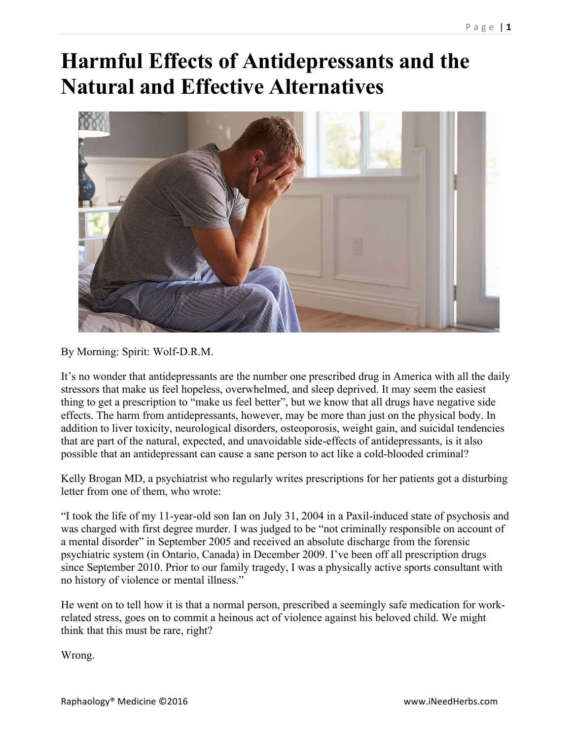## **Harmful Effects of Antidepressants and the Natural and Effective Alternatives**



By Morning: Spirit: Wolf-D.R.M.

It's no wonder that antidepressants are the number one prescribed drug in America with all the daily stressors that make us feel hopeless, overwhelmed, and sleep deprived. It may seem the easiest thing to get a prescription to "make us feel better", but we know that all drugs have negative side effects. The harm from antidepressants, however, may be more than just on the physical body. In addition to liver toxicity, neurological disorders, osteoporosis, weight gain, and suicidal tendencies that are part of the natural, expected, and unavoidable side-effects of antidepressants, is it also possible that an antidepressant can cause a sane person to act like a cold-blooded criminal?

Kelly Brogan MD, a psychiatrist who regularly writes prescriptions for her patients got a disturbing letter from one of them, who wrote:

"I took the life of my 11-year-old son Ian on July 31, 2004 in a Paxil-induced state of psychosis and was charged with first degree murder. I was judged to be "not criminally responsible on account of a mental disorder" in September 2005 and received an absolute discharge from the forensic psychiatric system (in Ontario, Canada) in December 2009. I've been off all prescription drugs since September 2010. Prior to our family tragedy, I was a physically active sports consultant with no history of violence or mental illness."

He went on to tell how it is that a normal person, prescribed a seemingly safe medication for workrelated stress, goes on to commit a heinous act of violence against his beloved child. We might think that this must be rare, right?

Wrong.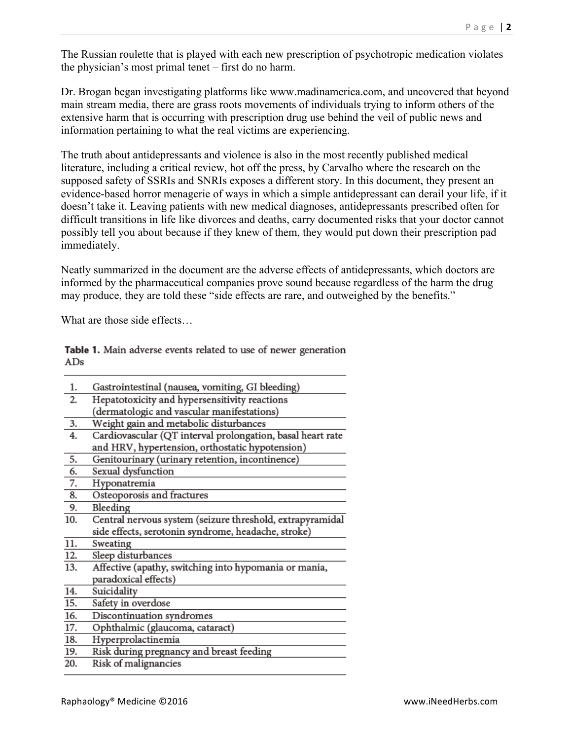The Russian roulette that is played with each new prescription of psychotropic medication violates the physician's most primal tenet – first do no harm.

Dr. Brogan began investigating platforms like www.madinamerica.com, and uncovered that beyond main stream media, there are grass roots movements of individuals trying to inform others of the extensive harm that is occurring with prescription drug use behind the veil of public news and information pertaining to what the real victims are experiencing.

The truth about antidepressants and violence is also in the most recently published medical literature, including a critical review, hot off the press, by Carvalho where the research on the supposed safety of SSRIs and SNRIs exposes a different story. In this document, they present an evidence-based horror menagerie of ways in which a simple antidepressant can derail your life, if it doesn't take it. Leaving patients with new medical diagnoses, antidepressants prescribed often for difficult transitions in life like divorces and deaths, carry documented risks that your doctor cannot possibly tell you about because if they knew of them, they would put down their prescription pad immediately.

Neatly summarized in the document are the adverse effects of antidepressants, which doctors are informed by the pharmaceutical companies prove sound because regardless of the harm the drug may produce, they are told these "side effects are rare, and outweighed by the benefits."

What are those side effects…

Table 1. Main adverse events related to use of newer generation  $ADs$ 

| 1.                | Gastrointestinal (nausea, vomiting, GI bleeding)           |
|-------------------|------------------------------------------------------------|
| 2.                | Hepatotoxicity and hypersensitivity reactions              |
|                   | (dermatologic and vascular manifestations)                 |
| 3.                | Weight gain and metabolic disturbances                     |
| 4.                | Cardiovascular (QT interval prolongation, basal heart rate |
|                   | and HRV, hypertension, orthostatic hypotension)            |
| 5.                | Genitourinary (urinary retention, incontinence)            |
| 6.                | Sexual dysfunction                                         |
| 7.                | Hyponatremia                                               |
| 8.                | Osteoporosis and fractures                                 |
| 9.                | Bleeding                                                   |
| 10.               | Central nervous system (seizure threshold, extrapyramidal  |
|                   | side effects, serotonin syndrome, headache, stroke)        |
| 11.               | Sweating                                                   |
| 12.               | Sleep disturbances                                         |
| $\overline{13}$ . | Affective (apathy, switching into hypomania or mania,      |
|                   | paradoxical effects)                                       |
| 14.               | Suicidality                                                |
| $\overline{15}$ . | Safety in overdose                                         |
| 16.               | Discontinuation syndromes                                  |
| 17.               | Ophthalmic (glaucoma, cataract)                            |
| 18.               | Hyperprolactinemia                                         |
| 19.               | Risk during pregnancy and breast feeding                   |
| 20.               | Risk of malignancies                                       |
|                   |                                                            |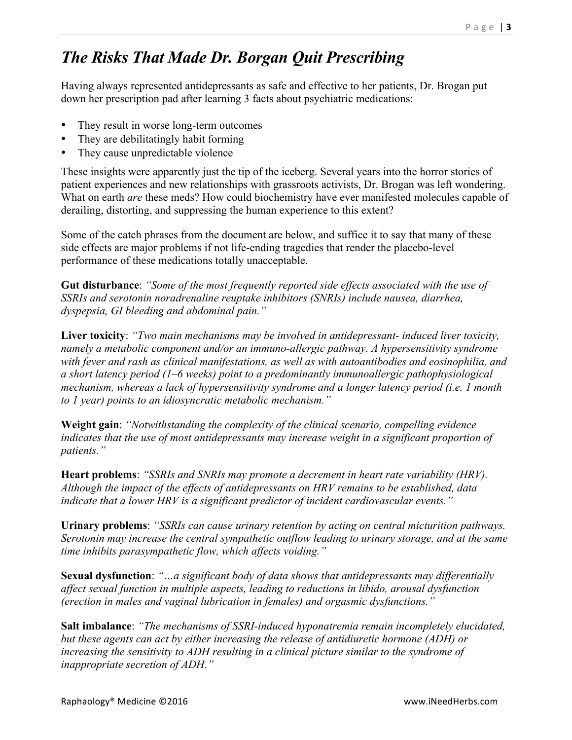## *The Risks That Made Dr. Borgan Quit Prescribing*

Having always represented antidepressants as safe and effective to her patients, Dr. Brogan put down her prescription pad after learning 3 facts about psychiatric medications:

- They result in worse long-term outcomes
- They are debilitatingly habit forming
- They cause unpredictable violence

These insights were apparently just the tip of the iceberg. Several years into the horror stories of patient experiences and new relationships with grassroots activists, Dr. Brogan was left wondering. What on earth *are* these meds? How could biochemistry have ever manifested molecules capable of derailing, distorting, and suppressing the human experience to this extent?

Some of the catch phrases from the document are below, and suffice it to say that many of these side effects are major problems if not life-ending tragedies that render the placebo-level performance of these medications totally unacceptable.

**Gut disturbance**: *"Some of the most frequently reported side effects associated with the use of SSRIs and serotonin noradrenaline reuptake inhibitors (SNRIs) include nausea, diarrhea, dyspepsia, GI bleeding and abdominal pain."*

**Liver toxicity**: *"Two main mechanisms may be involved in antidepressant- induced liver toxicity, namely a metabolic component and/or an immuno-allergic pathway. A hypersensitivity syndrome with fever and rash as clinical manifestations, as well as with autoantibodies and eosinophilia, and a short latency period (1–6 weeks) point to a predominantly immunoallergic pathophysiological mechanism, whereas a lack of hypersensitivity syndrome and a longer latency period (i.e. 1 month to 1 year) points to an idiosyncratic metabolic mechanism."*

**Weight gain**: *"Notwithstanding the complexity of the clinical scenario, compelling evidence indicates that the use of most antidepressants may increase weight in a significant proportion of patients."*

**Heart problems**: *"SSRIs and SNRIs may promote a decrement in heart rate variability (HRV). Although the impact of the effects of antidepressants on HRV remains to be established, data indicate that a lower HRV is a significant predictor of incident cardiovascular events."*

**Urinary problems**: *"SSRIs can cause urinary retention by acting on central micturition pathways. Serotonin may increase the central sympathetic outflow leading to urinary storage, and at the same time inhibits parasympathetic flow, which affects voiding."*

**Sexual dysfunction**: *"…a significant body of data shows that antidepressants may differentially affect sexual function in multiple aspects, leading to reductions in libido, arousal dysfunction (erection in males and vaginal lubrication in females) and orgasmic dysfunctions."*

**Salt imbalance**: *"The mechanisms of SSRI-induced hyponatremia remain incompletely elucidated, but these agents can act by either increasing the release of antidiuretic hormone (ADH) or increasing the sensitivity to ADH resulting in a clinical picture similar to the syndrome of inappropriate secretion of ADH."*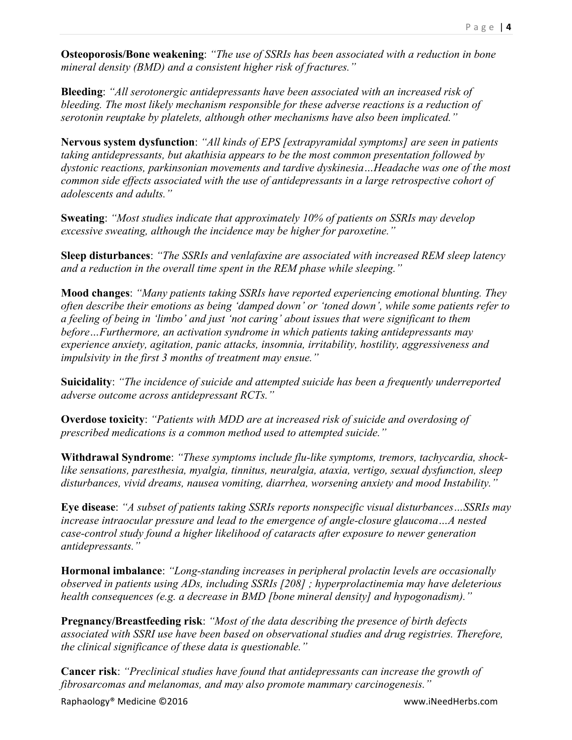**Osteoporosis/Bone weakening**: *"The use of SSRIs has been associated with a reduction in bone mineral density (BMD) and a consistent higher risk of fractures."*

**Bleeding**: *"All serotonergic antidepressants have been associated with an increased risk of bleeding. The most likely mechanism responsible for these adverse reactions is a reduction of serotonin reuptake by platelets, although other mechanisms have also been implicated."*

**Nervous system dysfunction**: *"All kinds of EPS [extrapyramidal symptoms] are seen in patients taking antidepressants, but akathisia appears to be the most common presentation followed by dystonic reactions, parkinsonian movements and tardive dyskinesia…Headache was one of the most common side effects associated with the use of antidepressants in a large retrospective cohort of adolescents and adults."*

**Sweating**: *"Most studies indicate that approximately 10% of patients on SSRIs may develop excessive sweating, although the incidence may be higher for paroxetine."*

**Sleep disturbances**: *"The SSRIs and venlafaxine are associated with increased REM sleep latency and a reduction in the overall time spent in the REM phase while sleeping."*

**Mood changes**: *"Many patients taking SSRIs have reported experiencing emotional blunting. They often describe their emotions as being 'damped down' or 'toned down', while some patients refer to a feeling of being in 'limbo' and just 'not caring' about issues that were significant to them before…Furthermore, an activation syndrome in which patients taking antidepressants may experience anxiety, agitation, panic attacks, insomnia, irritability, hostility, aggressiveness and impulsivity in the first 3 months of treatment may ensue."*

**Suicidality**: *"The incidence of suicide and attempted suicide has been a frequently underreported adverse outcome across antidepressant RCTs."*

**Overdose toxicity**: *"Patients with MDD are at increased risk of suicide and overdosing of prescribed medications is a common method used to attempted suicide."*

**Withdrawal Syndrome**: *"These symptoms include flu-like symptoms, tremors, tachycardia, shocklike sensations, paresthesia, myalgia, tinnitus, neuralgia, ataxia, vertigo, sexual dysfunction, sleep disturbances, vivid dreams, nausea vomiting, diarrhea, worsening anxiety and mood Instability."*

**Eye disease**: *"A subset of patients taking SSRIs reports nonspecific visual disturbances…SSRIs may increase intraocular pressure and lead to the emergence of angle-closure glaucoma…A nested case-control study found a higher likelihood of cataracts after exposure to newer generation antidepressants."*

**Hormonal imbalance**: *"Long-standing increases in peripheral prolactin levels are occasionally observed in patients using ADs, including SSRIs [208] ; hyperprolactinemia may have deleterious health consequences (e.g. a decrease in BMD [bone mineral density] and hypogonadism)."*

**Pregnancy/Breastfeeding risk**: *"Most of the data describing the presence of birth defects associated with SSRI use have been based on observational studies and drug registries. Therefore, the clinical significance of these data is questionable."*

**Cancer risk**: *"Preclinical studies have found that antidepressants can increase the growth of fibrosarcomas and melanomas, and may also promote mammary carcinogenesis."*

Raphaology® Medicine ©2016 **and the community of the community of the community of the community of the community**